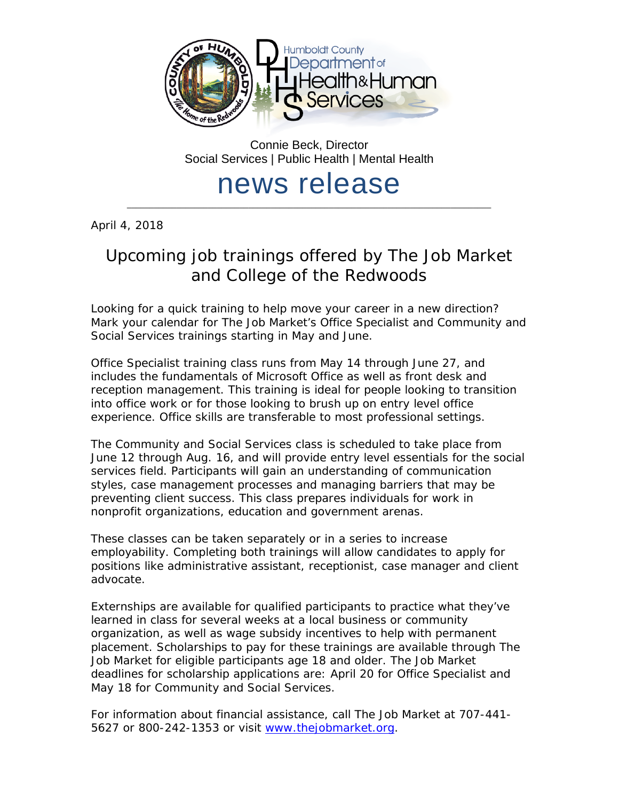

Connie Beck, Director Social Services | Public Health | Mental Health

## news release \_\_\_\_\_\_\_\_\_\_\_\_\_\_\_\_\_\_\_\_\_\_\_\_\_\_\_\_\_\_\_\_\_\_\_\_\_\_\_\_\_\_\_\_\_\_\_\_\_\_\_\_\_\_\_\_\_\_\_\_\_\_\_\_\_\_\_\_\_\_\_\_\_\_\_\_\_\_\_\_\_

April 4, 2018

## Upcoming job trainings offered by The Job Market and College of the Redwoods

Looking for a quick training to help move your career in a new direction? Mark your calendar for The Job Market's Office Specialist and Community and Social Services trainings starting in May and June.

Office Specialist training class runs from May 14 through June 27, and includes the fundamentals of Microsoft Office as well as front desk and reception management. This training is ideal for people looking to transition into office work or for those looking to brush up on entry level office experience. Office skills are transferable to most professional settings.

The Community and Social Services class is scheduled to take place from June 12 through Aug. 16, and will provide entry level essentials for the social services field. Participants will gain an understanding of communication styles, case management processes and managing barriers that may be preventing client success. This class prepares individuals for work in nonprofit organizations, education and government arenas.

These classes can be taken separately or in a series to increase employability. Completing both trainings will allow candidates to apply for positions like administrative assistant, receptionist, case manager and client advocate.

Externships are available for qualified participants to practice what they've learned in class for several weeks at a local business or community organization, as well as wage subsidy incentives to help with permanent placement. Scholarships to pay for these trainings are available through The Job Market for eligible participants age 18 and older. The Job Market deadlines for scholarship applications are: April 20 for Office Specialist and May 18 for Community and Social Services.

For information about financial assistance, call The Job Market at 707-441- 5627 or 800-242-1353 or visit [www.thejobmarket.org.](http://www.thejobmarket.org/)